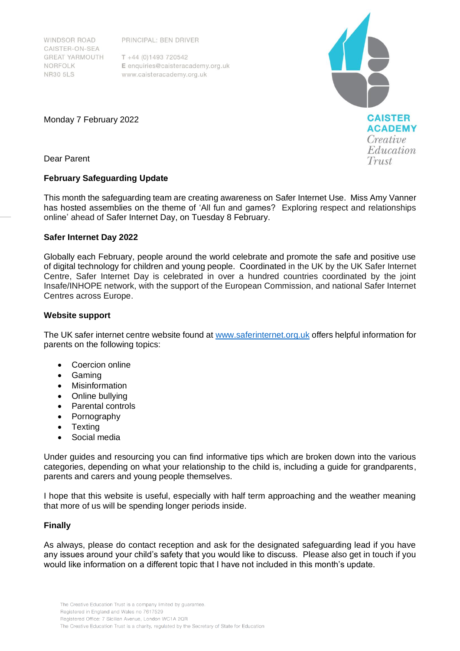WINDSOR ROAD CAISTER-ON-SEA **GREAT YARMOUTH** NORFOLK **NR30 5LS** 

PRINCIPAL: BEN DRIVER

 $T + 44(0)1493720542$ E enquiries@caisteracademy.org.uk www.caisteracademy.org.uk



Monday 7 February 2022

Dear Parent

## **February Safeguarding Update**

This month the safeguarding team are creating awareness on Safer Internet Use. Miss Amy Vanner has hosted assemblies on the theme of 'All fun and games? Exploring respect and relationships online' ahead of Safer Internet Day, on Tuesday 8 February.

## **Safer Internet Day 2022**

Globally each February, people around the world celebrate and promote the safe and positive use of digital technology for children and young people. Coordinated in the UK by the UK Safer Internet Centre, Safer Internet Day is celebrated in over a hundred countries coordinated by the joint Insafe/INHOPE network, with the support of the European Commission, and national Safer Internet Centres across Europe.

## **Website support**

The UK safer internet centre website found a[t www.saferinternet.org.uk](http://www.saferinternet.org.uk/) offers helpful information for parents on the following topics:

- Coercion online
- Gaming
- Misinformation
- Online bullying
- Parental controls
- Pornography
- Texting
- Social media

Under guides and resourcing you can find informative tips which are broken down into the various categories, depending on what your relationship to the child is, including a guide for grandparents, parents and carers and young people themselves.

I hope that this website is useful, especially with half term approaching and the weather meaning that more of us will be spending longer periods inside.

## **Finally**

As always, please do contact reception and ask for the designated safeguarding lead if you have any issues around your child's safety that you would like to discuss. Please also get in touch if you would like information on a different topic that I have not included in this month's update.